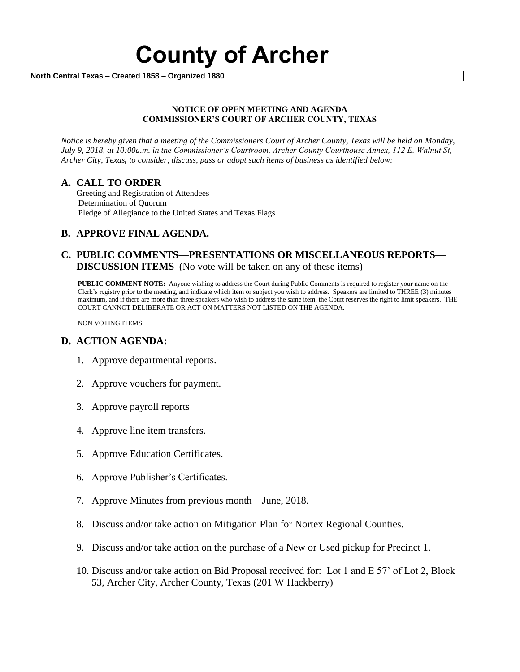# **County of Archer**

 **North Central Texas – Created 1858 – Organized 1880**

#### **NOTICE OF OPEN MEETING AND AGENDA COMMISSIONER'S COURT OF ARCHER COUNTY, TEXAS**

*Notice is hereby given that a meeting of the Commissioners Court of Archer County, Texas will be held on Monday, July 9, 2018, at 10:00a.m. in the Commissioner's Courtroom, Archer County Courthouse Annex, 112 E. Walnut St, Archer City, Texas, to consider, discuss, pass or adopt such items of business as identified below:*

## **A. CALL TO ORDER**

 Greeting and Registration of Attendees Determination of Quorum Pledge of Allegiance to the United States and Texas Flags

## **B. APPROVE FINAL AGENDA.**

## **C. PUBLIC COMMENTS—PRESENTATIONS OR MISCELLANEOUS REPORTS— DISCUSSION ITEMS** (No vote will be taken on any of these items)

**PUBLIC COMMENT NOTE:** Anyone wishing to address the Court during Public Comments is required to register your name on the Clerk's registry prior to the meeting, and indicate which item or subject you wish to address. Speakers are limited to THREE (3) minutes maximum, and if there are more than three speakers who wish to address the same item, the Court reserves the right to limit speakers. THE COURT CANNOT DELIBERATE OR ACT ON MATTERS NOT LISTED ON THE AGENDA.

NON VOTING ITEMS:

#### **D. ACTION AGENDA:**

- 1. Approve departmental reports.
- 2. Approve vouchers for payment.
- 3. Approve payroll reports
- 4. Approve line item transfers.
- 5. Approve Education Certificates.
- 6. Approve Publisher's Certificates.
- 7. Approve Minutes from previous month June, 2018.
- 8. Discuss and/or take action on Mitigation Plan for Nortex Regional Counties.
- 9. Discuss and/or take action on the purchase of a New or Used pickup for Precinct 1.
- 10. Discuss and/or take action on Bid Proposal received for: Lot 1 and E 57' of Lot 2, Block 53, Archer City, Archer County, Texas (201 W Hackberry)